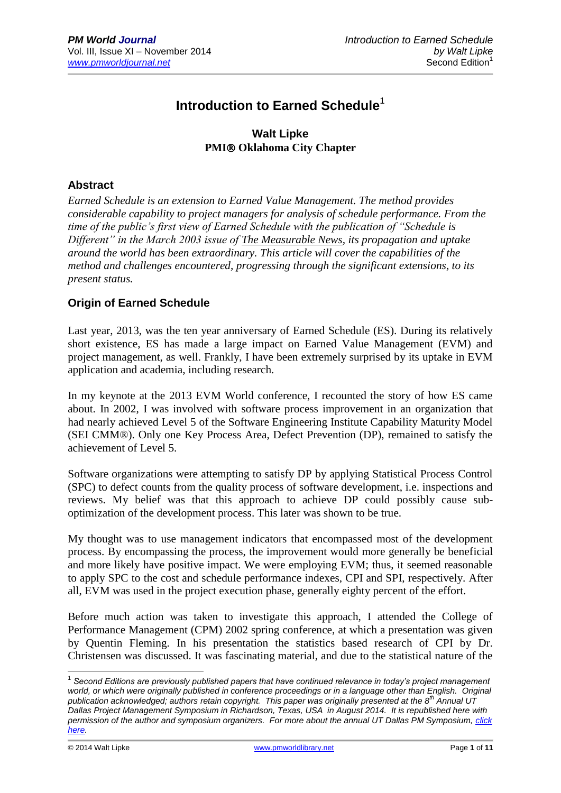# **Introduction to Earned Schedule**<sup>1</sup>

## **Walt Lipke PMI® Oklahoma City Chapter**

#### **Abstract**

*Earned Schedule is an extension to Earned Value Management. The method provides considerable capability to project managers for analysis of schedule performance. From the time of the public's first view of Earned Schedule with the publication of "Schedule is Different" in the March 2003 issue of The Measurable News, its propagation and uptake around the world has been extraordinary. This article will cover the capabilities of the method and challenges encountered, progressing through the significant extensions, to its present status.* 

## **Origin of Earned Schedule**

Last year, 2013, was the ten year anniversary of Earned Schedule (ES). During its relatively short existence, ES has made a large impact on Earned Value Management (EVM) and project management, as well. Frankly, I have been extremely surprised by its uptake in EVM application and academia, including research.

In my keynote at the 2013 EVM World conference, I recounted the story of how ES came about. In 2002, I was involved with software process improvement in an organization that had nearly achieved Level 5 of the Software Engineering Institute Capability Maturity Model (SEI CMM®). Only one Key Process Area, Defect Prevention (DP), remained to satisfy the achievement of Level 5.

Software organizations were attempting to satisfy DP by applying Statistical Process Control (SPC) to defect counts from the quality process of software development, i.e. inspections and reviews. My belief was that this approach to achieve DP could possibly cause suboptimization of the development process. This later was shown to be true.

My thought was to use management indicators that encompassed most of the development process. By encompassing the process, the improvement would more generally be beneficial and more likely have positive impact. We were employing EVM; thus, it seemed reasonable to apply SPC to the cost and schedule performance indexes, CPI and SPI, respectively. After all, EVM was used in the project execution phase, generally eighty percent of the effort.

Before much action was taken to investigate this approach, I attended the College of Performance Management (CPM) 2002 spring conference, at which a presentation was given by Quentin Fleming. In his presentation the statistics based research of CPI by Dr. Christensen was discussed. It was fascinating material, and due to the statistical nature of the

<sup>&</sup>lt;sup>1</sup> Second Editions are previously published papers that have continued relevance in today's project management world, or which were originally published in conference proceedings or in a language other than English. Original *publication acknowledged; authors retain copyright. This paper was originally presented at the 8th Annual UT Dallas Project Management Symposium in Richardson, Texas, USA in August 2014. It is republished here with permission of the author and symposium organizers. For more about the annual UT Dallas PM Symposium[, click](http://jindal.utdallas.edu/executive-education/executive-degree-programs/project-management/pm-symposium/)  [here.](http://jindal.utdallas.edu/executive-education/executive-degree-programs/project-management/pm-symposium/)*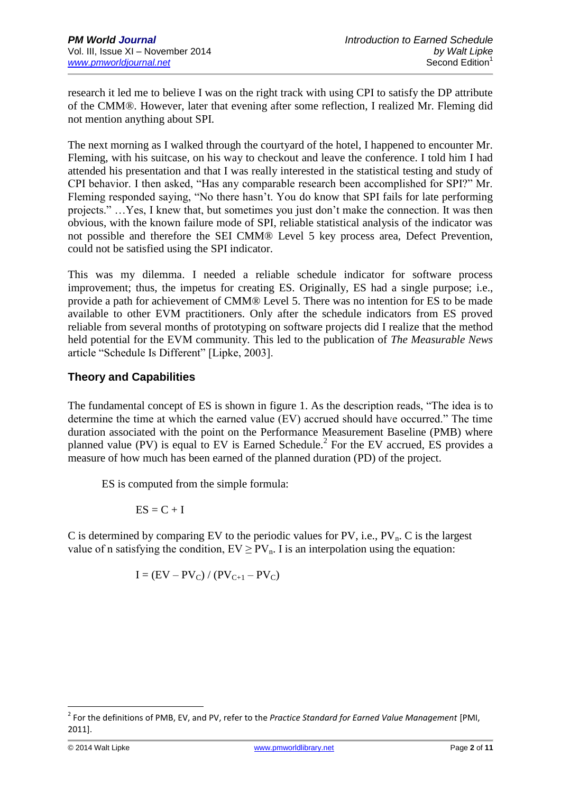research it led me to believe I was on the right track with using CPI to satisfy the DP attribute of the CMM®. However, later that evening after some reflection, I realized Mr. Fleming did not mention anything about SPI.

The next morning as I walked through the courtyard of the hotel, I happened to encounter Mr. Fleming, with his suitcase, on his way to checkout and leave the conference. I told him I had attended his presentation and that I was really interested in the statistical testing and study of CPI behavior. I then asked, "Has any comparable research been accomplished for SPI?" Mr. Fleming responded saying, "No there hasn't. You do know that SPI fails for late performing projects." …Yes, I knew that, but sometimes you just don't make the connection. It was then obvious, with the known failure mode of SPI, reliable statistical analysis of the indicator was not possible and therefore the SEI CMM® Level 5 key process area, Defect Prevention, could not be satisfied using the SPI indicator.

This was my dilemma. I needed a reliable schedule indicator for software process improvement; thus, the impetus for creating ES. Originally, ES had a single purpose; i.e., provide a path for achievement of CMM® Level 5. There was no intention for ES to be made available to other EVM practitioners. Only after the schedule indicators from ES proved reliable from several months of prototyping on software projects did I realize that the method held potential for the EVM community. This led to the publication of *The Measurable News* article "Schedule Is Different" [Lipke, 2003].

# **Theory and Capabilities**

The fundamental concept of ES is shown in figure 1. As the description reads, "The idea is to determine the time at which the earned value (EV) accrued should have occurred." The time duration associated with the point on the Performance Measurement Baseline (PMB) where planned value (PV) is equal to EV is Earned Schedule.<sup>2</sup> For the EV accrued, ES provides a measure of how much has been earned of the planned duration (PD) of the project.

ES is computed from the simple formula:

$$
ES = C + I
$$

C is determined by comparing EV to the periodic values for PV, i.e.,  $PV_n$ . C is the largest value of n satisfying the condition,  $EV \ge PV_n$ . I is an interpolation using the equation:

$$
I = (EV - PV_C) / (PV_{C+1} - PV_C)
$$

<sup>&</sup>lt;sup>2</sup> For the definitions of PMB, EV, and PV, refer to the *Practice Standard for Earned Value Management* [PMI, 2011].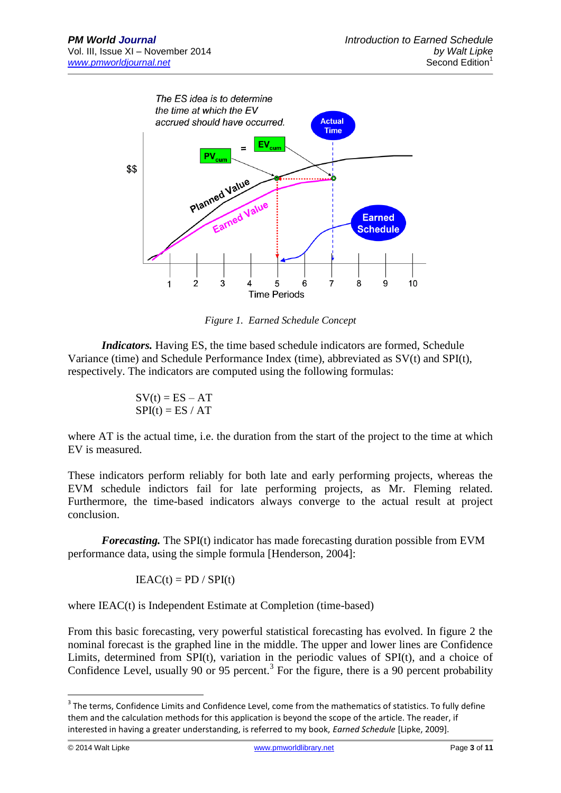

*Figure 1. Earned Schedule Concept*

*Indicators.* Having ES, the time based schedule indicators are formed, Schedule Variance (time) and Schedule Performance Index (time), abbreviated as SV(t) and SPI(t), respectively. The indicators are computed using the following formulas:

$$
SV(t) = ES - AT
$$
  
SPI(t) = ES / AT

where AT is the actual time, i.e. the duration from the start of the project to the time at which EV is measured.

These indicators perform reliably for both late and early performing projects, whereas the EVM schedule indictors fail for late performing projects, as Mr. Fleming related. Furthermore, the time-based indicators always converge to the actual result at project conclusion.

*Forecasting.* The SPI(t) indicator has made forecasting duration possible from EVM performance data, using the simple formula [Henderson, 2004]:

$$
IEAC(t) = PD / SPI(t)
$$

where IEAC(t) is Independent Estimate at Completion (time-based)

From this basic forecasting, very powerful statistical forecasting has evolved. In figure 2 the nominal forecast is the graphed line in the middle. The upper and lower lines are Confidence Limits, determined from SPI(t), variation in the periodic values of SPI(t), and a choice of Confidence Level, usually 90 or 95 percent.<sup>3</sup> For the figure, there is a 90 percent probability

 $3$  The terms, Confidence Limits and Confidence Level, come from the mathematics of statistics. To fully define them and the calculation methods for this application is beyond the scope of the article. The reader, if interested in having a greater understanding, is referred to my book, *Earned Schedule* [Lipke, 2009].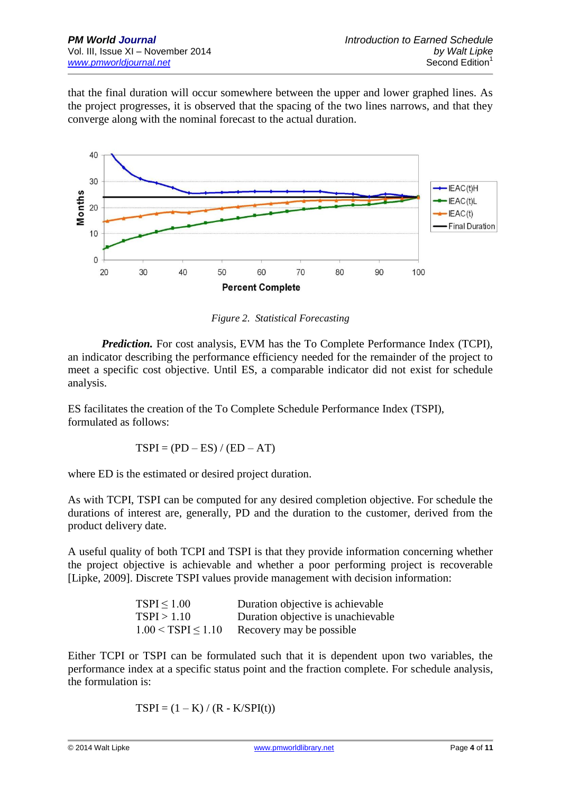that the final duration will occur somewhere between the upper and lower graphed lines. As the project progresses, it is observed that the spacing of the two lines narrows, and that they converge along with the nominal forecast to the actual duration.



*Figure 2. Statistical Forecasting*

*Prediction.* For cost analysis, EVM has the To Complete Performance Index (TCPI), an indicator describing the performance efficiency needed for the remainder of the project to meet a specific cost objective. Until ES, a comparable indicator did not exist for schedule analysis.

ES facilitates the creation of the To Complete Schedule Performance Index (TSPI), formulated as follows:

$$
TSPI = (PD - ES) / (ED - AT)
$$

where ED is the estimated or desired project duration.

As with TCPI, TSPI can be computed for any desired completion objective. For schedule the durations of interest are, generally, PD and the duration to the customer, derived from the product delivery date.

A useful quality of both TCPI and TSPI is that they provide information concerning whether the project objective is achievable and whether a poor performing project is recoverable [Lipke, 2009]. Discrete TSPI values provide management with decision information:

| TSPI < 1.00            | Duration objective is achievable    |
|------------------------|-------------------------------------|
| TSPI > 1.10            | Duration objective is unachievable. |
| $1.00 < TSPI \le 1.10$ | Recovery may be possible.           |

Either TCPI or TSPI can be formulated such that it is dependent upon two variables, the performance index at a specific status point and the fraction complete. For schedule analysis, the formulation is:

 $TSPI = (1 - K) / (R - K/SPI(t))$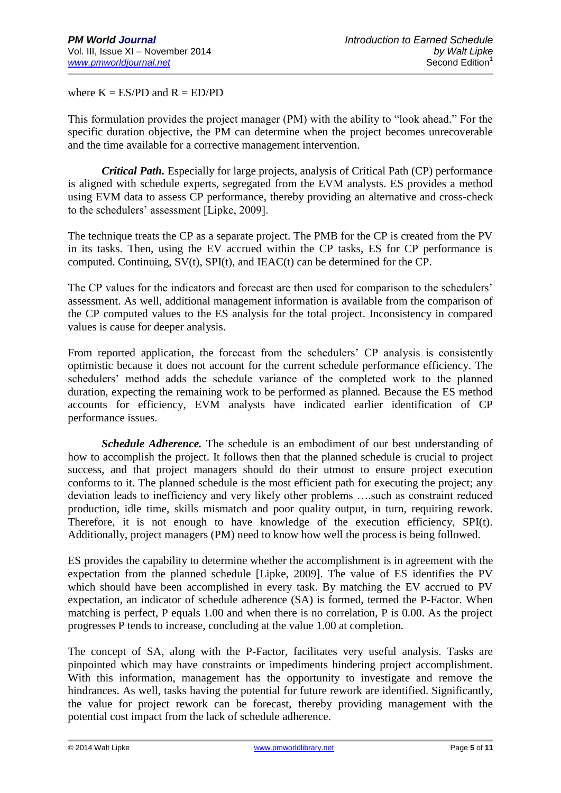where  $K = ES/PD$  and  $R = ED/PD$ 

This formulation provides the project manager (PM) with the ability to "look ahead." For the specific duration objective, the PM can determine when the project becomes unrecoverable and the time available for a corrective management intervention.

*Critical Path.* Especially for large projects, analysis of Critical Path (CP) performance is aligned with schedule experts, segregated from the EVM analysts. ES provides a method using EVM data to assess CP performance, thereby providing an alternative and cross-check to the schedulers' assessment [Lipke, 2009].

The technique treats the CP as a separate project. The PMB for the CP is created from the PV in its tasks. Then, using the EV accrued within the CP tasks, ES for CP performance is computed. Continuing, SV(t), SPI(t), and IEAC(t) can be determined for the CP.

The CP values for the indicators and forecast are then used for comparison to the schedulers' assessment. As well, additional management information is available from the comparison of the CP computed values to the ES analysis for the total project. Inconsistency in compared values is cause for deeper analysis.

From reported application, the forecast from the schedulers' CP analysis is consistently optimistic because it does not account for the current schedule performance efficiency. The schedulers' method adds the schedule variance of the completed work to the planned duration, expecting the remaining work to be performed as planned. Because the ES method accounts for efficiency, EVM analysts have indicated earlier identification of CP performance issues.

*Schedule Adherence.* The schedule is an embodiment of our best understanding of how to accomplish the project. It follows then that the planned schedule is crucial to project success, and that project managers should do their utmost to ensure project execution conforms to it. The planned schedule is the most efficient path for executing the project; any deviation leads to inefficiency and very likely other problems ….such as constraint reduced production, idle time, skills mismatch and poor quality output, in turn, requiring rework. Therefore, it is not enough to have knowledge of the execution efficiency, SPI(t). Additionally, project managers (PM) need to know how well the process is being followed.

ES provides the capability to determine whether the accomplishment is in agreement with the expectation from the planned schedule [Lipke, 2009]. The value of ES identifies the PV which should have been accomplished in every task. By matching the EV accrued to PV expectation, an indicator of schedule adherence (SA) is formed, termed the P-Factor. When matching is perfect, P equals 1.00 and when there is no correlation, P is 0.00. As the project progresses P tends to increase, concluding at the value 1.00 at completion.

The concept of SA, along with the P-Factor, facilitates very useful analysis. Tasks are pinpointed which may have constraints or impediments hindering project accomplishment. With this information, management has the opportunity to investigate and remove the hindrances. As well, tasks having the potential for future rework are identified. Significantly, the value for project rework can be forecast, thereby providing management with the potential cost impact from the lack of schedule adherence.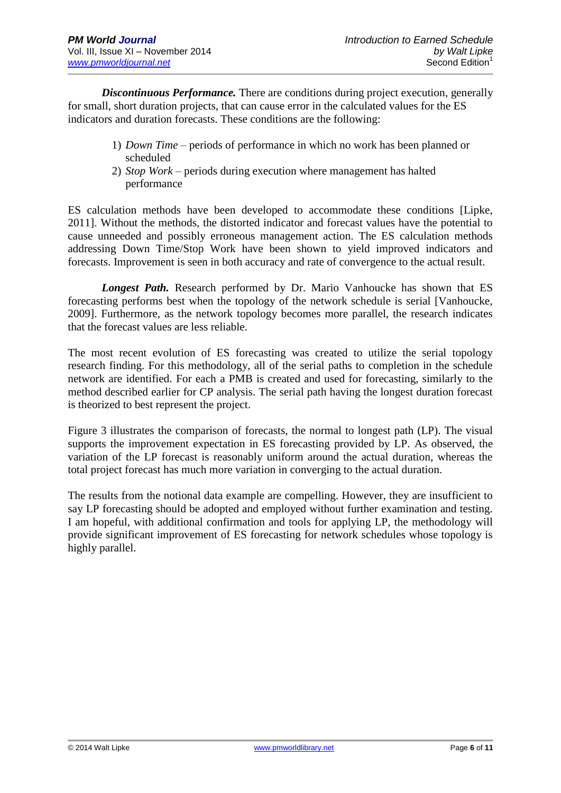*Discontinuous Performance.* There are conditions during project execution, generally for small, short duration projects, that can cause error in the calculated values for the ES indicators and duration forecasts. These conditions are the following:

- 1) *Down Time* periods of performance in which no work has been planned or scheduled
- 2) *Stop Work* periods during execution where management has halted performance

ES calculation methods have been developed to accommodate these conditions [Lipke, 2011]. Without the methods, the distorted indicator and forecast values have the potential to cause unneeded and possibly erroneous management action. The ES calculation methods addressing Down Time/Stop Work have been shown to yield improved indicators and forecasts. Improvement is seen in both accuracy and rate of convergence to the actual result.

*Longest Path.* Research performed by Dr. Mario Vanhoucke has shown that ES forecasting performs best when the topology of the network schedule is serial [Vanhoucke, 2009]. Furthermore, as the network topology becomes more parallel, the research indicates that the forecast values are less reliable.

The most recent evolution of ES forecasting was created to utilize the serial topology research finding. For this methodology, all of the serial paths to completion in the schedule network are identified. For each a PMB is created and used for forecasting, similarly to the method described earlier for CP analysis. The serial path having the longest duration forecast is theorized to best represent the project.

Figure 3 illustrates the comparison of forecasts, the normal to longest path (LP). The visual supports the improvement expectation in ES forecasting provided by LP. As observed, the variation of the LP forecast is reasonably uniform around the actual duration, whereas the total project forecast has much more variation in converging to the actual duration.

The results from the notional data example are compelling. However, they are insufficient to say LP forecasting should be adopted and employed without further examination and testing. I am hopeful, with additional confirmation and tools for applying LP, the methodology will provide significant improvement of ES forecasting for network schedules whose topology is highly parallel.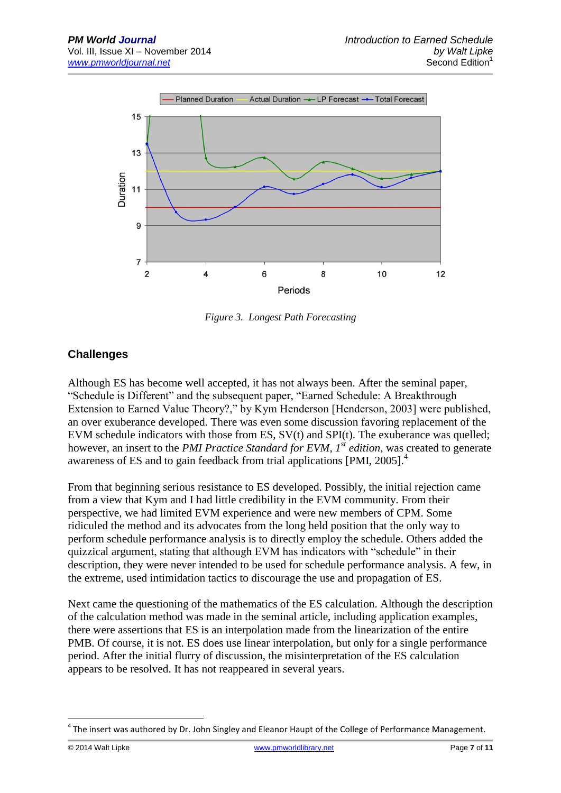

*Figure 3. Longest Path Forecasting*

# **Challenges**

Although ES has become well accepted, it has not always been. After the seminal paper, "Schedule is Different" and the subsequent paper, "Earned Schedule: A Breakthrough Extension to Earned Value Theory?," by Kym Henderson [Henderson, 2003] were published, an over exuberance developed. There was even some discussion favoring replacement of the EVM schedule indicators with those from ES, SV(t) and SPI(t). The exuberance was quelled; however, an insert to the *PMI Practice Standard for EVM, 1st edition*, was created to generate awareness of ES and to gain feedback from trial applications [PMI, 2005].<sup>4</sup>

From that beginning serious resistance to ES developed. Possibly, the initial rejection came from a view that Kym and I had little credibility in the EVM community. From their perspective, we had limited EVM experience and were new members of CPM. Some ridiculed the method and its advocates from the long held position that the only way to perform schedule performance analysis is to directly employ the schedule. Others added the quizzical argument, stating that although EVM has indicators with "schedule" in their description, they were never intended to be used for schedule performance analysis. A few, in the extreme, used intimidation tactics to discourage the use and propagation of ES.

Next came the questioning of the mathematics of the ES calculation. Although the description of the calculation method was made in the seminal article, including application examples, there were assertions that ES is an interpolation made from the linearization of the entire PMB. Of course, it is not. ES does use linear interpolation, but only for a single performance period. After the initial flurry of discussion, the misinterpretation of the ES calculation appears to be resolved. It has not reappeared in several years.

 $^4$  The insert was authored by Dr. John Singley and Eleanor Haupt of the College of Performance Management.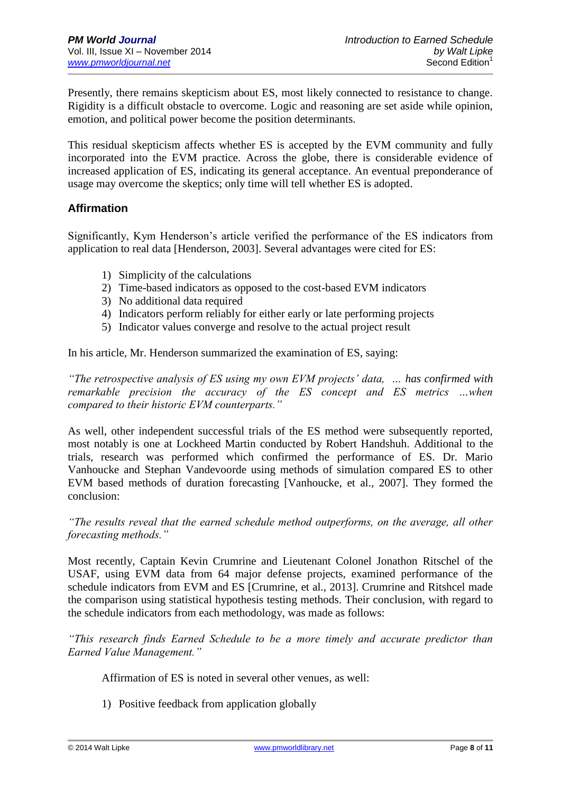Presently, there remains skepticism about ES, most likely connected to resistance to change. Rigidity is a difficult obstacle to overcome. Logic and reasoning are set aside while opinion, emotion, and political power become the position determinants.

This residual skepticism affects whether ES is accepted by the EVM community and fully incorporated into the EVM practice. Across the globe, there is considerable evidence of increased application of ES, indicating its general acceptance. An eventual preponderance of usage may overcome the skeptics; only time will tell whether ES is adopted.

#### **Affirmation**

Significantly, Kym Henderson's article verified the performance of the ES indicators from application to real data [Henderson, 2003]. Several advantages were cited for ES:

- 1) Simplicity of the calculations
- 2) Time-based indicators as opposed to the cost-based EVM indicators
- 3) No additional data required
- 4) Indicators perform reliably for either early or late performing projects
- 5) Indicator values converge and resolve to the actual project result

In his article, Mr. Henderson summarized the examination of ES, saying:

*"The retrospective analysis of ES using my own EVM projects' data, … has confirmed with remarkable precision the accuracy of the ES concept and ES metrics …when compared to their historic EVM counterparts."*

As well, other independent successful trials of the ES method were subsequently reported, most notably is one at Lockheed Martin conducted by Robert Handshuh. Additional to the trials, research was performed which confirmed the performance of ES. Dr. Mario Vanhoucke and Stephan Vandevoorde using methods of simulation compared ES to other EVM based methods of duration forecasting [Vanhoucke, et al., 2007]. They formed the conclusion:

*"The results reveal that the earned schedule method outperforms, on the average, all other forecasting methods."*

Most recently, Captain Kevin Crumrine and Lieutenant Colonel Jonathon Ritschel of the USAF, using EVM data from 64 major defense projects, examined performance of the schedule indicators from EVM and ES [Crumrine, et al., 2013]. Crumrine and Ritshcel made the comparison using statistical hypothesis testing methods. Their conclusion, with regard to the schedule indicators from each methodology, was made as follows:

*"This research finds Earned Schedule to be a more timely and accurate predictor than Earned Value Management."*

Affirmation of ES is noted in several other venues, as well:

1) Positive feedback from application globally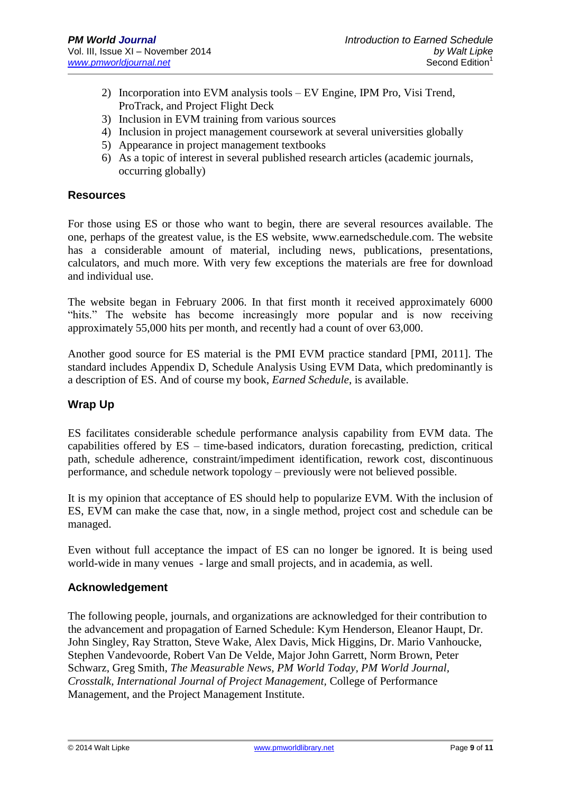- 2) Incorporation into EVM analysis tools EV Engine, IPM Pro, Visi Trend, ProTrack, and Project Flight Deck
- 3) Inclusion in EVM training from various sources
- 4) Inclusion in project management coursework at several universities globally
- 5) Appearance in project management textbooks
- 6) As a topic of interest in several published research articles (academic journals, occurring globally)

#### **Resources**

For those using ES or those who want to begin, there are several resources available. The one, perhaps of the greatest value, is the ES website, www.earnedschedule.com. The website has a considerable amount of material, including news, publications, presentations, calculators, and much more. With very few exceptions the materials are free for download and individual use.

The website began in February 2006. In that first month it received approximately 6000 "hits." The website has become increasingly more popular and is now receiving approximately 55,000 hits per month, and recently had a count of over 63,000.

Another good source for ES material is the PMI EVM practice standard [PMI, 2011]. The standard includes Appendix D, Schedule Analysis Using EVM Data, which predominantly is a description of ES. And of course my book, *Earned Schedule*, is available.

## **Wrap Up**

ES facilitates considerable schedule performance analysis capability from EVM data. The capabilities offered by ES – time-based indicators, duration forecasting, prediction, critical path, schedule adherence, constraint/impediment identification, rework cost, discontinuous performance, and schedule network topology – previously were not believed possible.

It is my opinion that acceptance of ES should help to popularize EVM. With the inclusion of ES, EVM can make the case that, now, in a single method, project cost and schedule can be managed.

Even without full acceptance the impact of ES can no longer be ignored. It is being used world-wide in many venues - large and small projects, and in academia, as well.

#### **Acknowledgement**

The following people, journals, and organizations are acknowledged for their contribution to the advancement and propagation of Earned Schedule: Kym Henderson, Eleanor Haupt, Dr. John Singley, Ray Stratton, Steve Wake, Alex Davis, Mick Higgins, Dr. Mario Vanhoucke, Stephen Vandevoorde, Robert Van De Velde, Major John Garrett, Norm Brown, Peter Schwarz, Greg Smith, *The Measurable News, PM World Today, PM World Journal, Crosstalk, International Journal of Project Management,* College of Performance Management, and the Project Management Institute.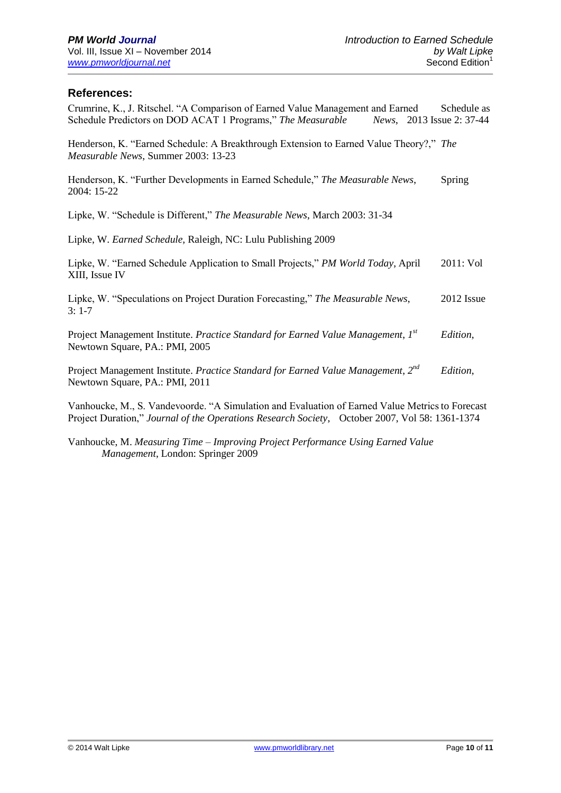### **References:**

| Crumrine, K., J. Ritschel. "A Comparison of Earned Value Management and Earned<br>Schedule Predictors on DOD ACAT 1 Programs," The Measurable News, 2013 Issue 2: 37-44 | Schedule as |
|-------------------------------------------------------------------------------------------------------------------------------------------------------------------------|-------------|
| Henderson, K. "Earned Schedule: A Breakthrough Extension to Earned Value Theory?," The<br>Measurable News, Summer 2003: 13-23                                           |             |
| Henderson, K. "Further Developments in Earned Schedule," The Measurable News,<br>2004: 15-22                                                                            | Spring      |
| Lipke, W. "Schedule is Different," The Measurable News, March 2003: 31-34                                                                                               |             |
| Lipke, W. Earned Schedule, Raleigh, NC: Lulu Publishing 2009                                                                                                            |             |
| Lipke, W. "Earned Schedule Application to Small Projects," <i>PM World Today</i> , April<br>XIII, Issue IV                                                              | 2011: Vol   |
| Lipke, W. "Speculations on Project Duration Forecasting," The Measurable News,<br>$3:1-7$                                                                               | 2012 Issue  |
| Project Management Institute. Practice Standard for Earned Value Management, 1st<br>Newtown Square, PA.: PMI, 2005                                                      | Edition,    |
| Project Management Institute. Practice Standard for Earned Value Management, 2 <sup>nd</sup><br>Newtown Square, PA.: PMI, 2011                                          | Edition,    |

Vanhoucke, M., S. Vandevoorde. "A Simulation and Evaluation of Earned Value Metricsto Forecast Project Duration," *Journal of the Operations Research Society*, October 2007, Vol 58: 1361-1374

Vanhoucke, M. *Measuring Time – Improving Project Performance Using Earned Value Management*, London: Springer 2009